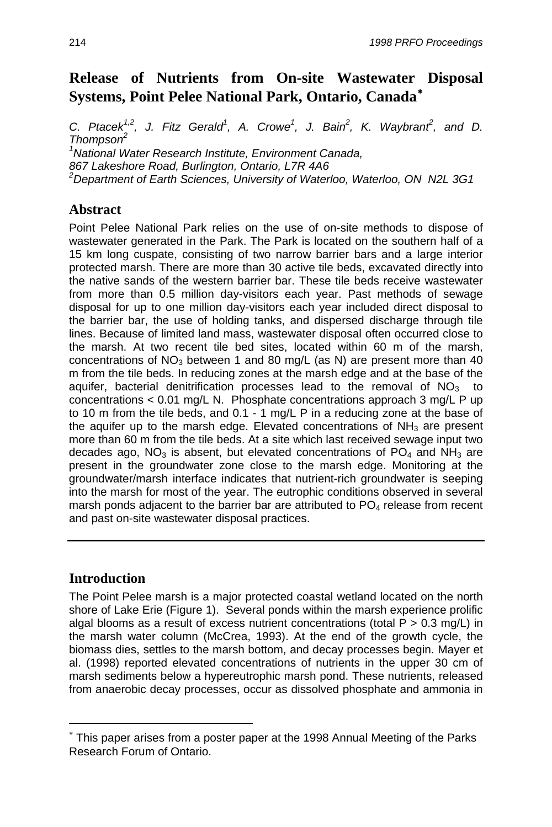# **Release of Nutrients from On-site Wastewater Disposal Systems, Point Pelee National Park, Ontario, Canada**[∗](#page-0-0)

*C. Ptacek*<sup>1,2</sup>, J. Fitz Gerald<sup>1</sup>, A. Crowe<sup>1</sup>, J. Bain<sup>2</sup>, K. Waybrant<sup>2</sup>, and D. *Thompson2 1 National Water Research Institute, Environment Canada, 867 Lakeshore Road, Burlington, Ontario, L7R 4A6 2 Department of Earth Sciences, University of Waterloo, Waterloo, ON N2L 3G1* 

## **Abstract**

Point Pelee National Park relies on the use of on-site methods to dispose of wastewater generated in the Park. The Park is located on the southern half of a 15 km long cuspate, consisting of two narrow barrier bars and a large interior protected marsh. There are more than 30 active tile beds, excavated directly into the native sands of the western barrier bar. These tile beds receive wastewater from more than 0.5 million day-visitors each year. Past methods of sewage disposal for up to one million day-visitors each year included direct disposal to the barrier bar, the use of holding tanks, and dispersed discharge through tile lines. Because of limited land mass, wastewater disposal often occurred close to the marsh. At two recent tile bed sites, located within 60 m of the marsh, concentrations of  $NO<sub>3</sub>$  between 1 and 80 mg/L (as N) are present more than 40 m from the tile beds. In reducing zones at the marsh edge and at the base of the aquifer, bacterial denitrification processes lead to the removal of  $NO<sub>3</sub>$  to concentrations < 0.01 mg/L N. Phosphate concentrations approach 3 mg/L P up to 10 m from the tile beds, and 0.1 - 1 mg/L P in a reducing zone at the base of the aquifer up to the marsh edge. Elevated concentrations of  $NH<sub>3</sub>$  are present more than 60 m from the tile beds. At a site which last received sewage input two decades ago,  $NO<sub>3</sub>$  is absent, but elevated concentrations of  $PO<sub>4</sub>$  and  $NH<sub>3</sub>$  are present in the groundwater zone close to the marsh edge. Monitoring at the groundwater/marsh interface indicates that nutrient-rich groundwater is seeping into the marsh for most of the year. The eutrophic conditions observed in several marsh ponds adjacent to the barrier bar are attributed to  $PO<sub>4</sub>$  release from recent and past on-site wastewater disposal practices.

## **Introduction**

 $\overline{a}$ 

The Point Pelee marsh is a major protected coastal wetland located on the north shore of Lake Erie (Figure 1). Several ponds within the marsh experience prolific algal blooms as a result of excess nutrient concentrations (total  $P > 0.3$  mg/L) in the marsh water column (McCrea, 1993). At the end of the growth cycle, the biomass dies, settles to the marsh bottom, and decay processes begin. Mayer et al. (1998) reported elevated concentrations of nutrients in the upper 30 cm of marsh sediments below a hypereutrophic marsh pond. These nutrients, released from anaerobic decay processes, occur as dissolved phosphate and ammonia in

<span id="page-0-0"></span><sup>∗</sup> This paper arises from a poster paper at the 1998 Annual Meeting of the Parks Research Forum of Ontario.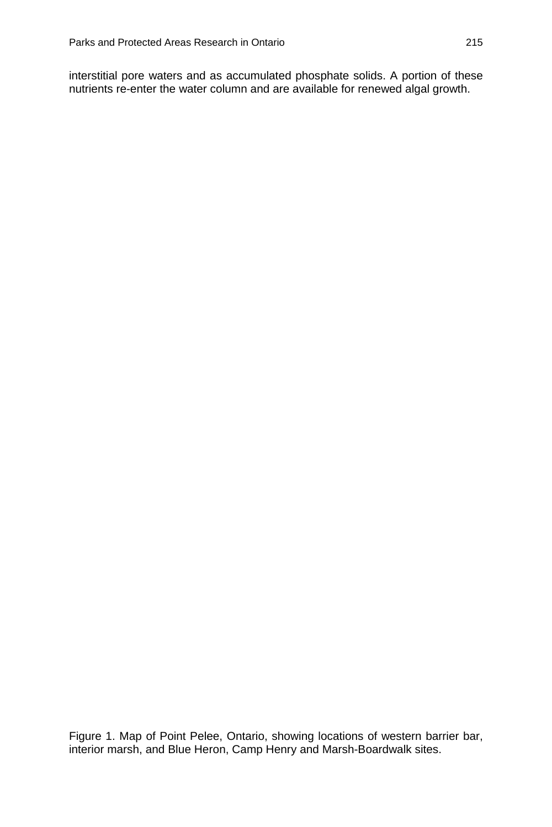interstitial pore waters and as accumulated phosphate solids. A portion of these nutrients re-enter the water column and are available for renewed algal growth.

Figure 1. Map of Point Pelee, Ontario, showing locations of western barrier bar, interior marsh, and Blue Heron, Camp Henry and Marsh-Boardwalk sites.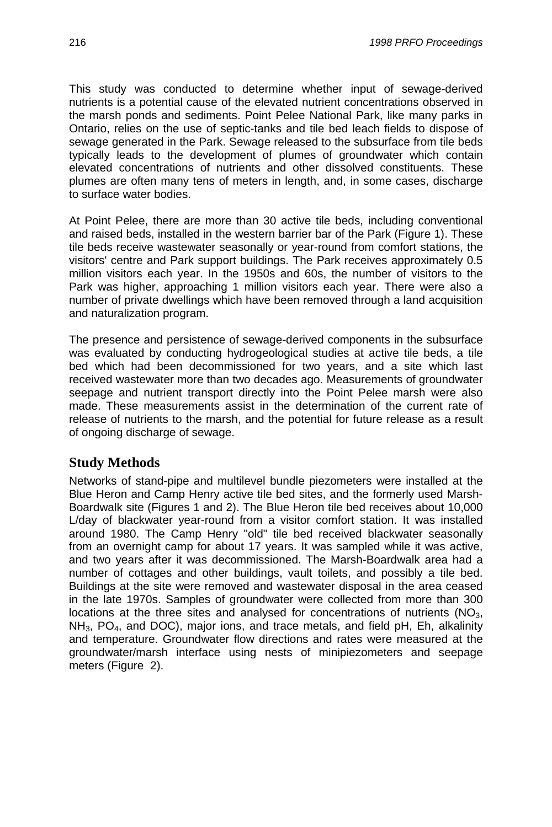This study was conducted to determine whether input of sewage-derived nutrients is a potential cause of the elevated nutrient concentrations observed in the marsh ponds and sediments. Point Pelee National Park, like many parks in Ontario, relies on the use of septic-tanks and tile bed leach fields to dispose of sewage generated in the Park. Sewage released to the subsurface from tile beds typically leads to the development of plumes of groundwater which contain elevated concentrations of nutrients and other dissolved constituents. These plumes are often many tens of meters in length, and, in some cases, discharge to surface water bodies.

At Point Pelee, there are more than 30 active tile beds, including conventional and raised beds, installed in the western barrier bar of the Park (Figure 1). These tile beds receive wastewater seasonally or year-round from comfort stations, the visitors' centre and Park support buildings. The Park receives approximately 0.5 million visitors each year. In the 1950s and 60s, the number of visitors to the Park was higher, approaching 1 million visitors each year. There were also a number of private dwellings which have been removed through a land acquisition and naturalization program.

The presence and persistence of sewage-derived components in the subsurface was evaluated by conducting hydrogeological studies at active tile beds, a tile bed which had been decommissioned for two years, and a site which last received wastewater more than two decades ago. Measurements of groundwater seepage and nutrient transport directly into the Point Pelee marsh were also made. These measurements assist in the determination of the current rate of release of nutrients to the marsh, and the potential for future release as a result of ongoing discharge of sewage.

### **Study Methods**

Networks of stand-pipe and multilevel bundle piezometers were installed at the Blue Heron and Camp Henry active tile bed sites, and the formerly used Marsh-Boardwalk site (Figures 1 and 2). The Blue Heron tile bed receives about 10,000 L/day of blackwater year-round from a visitor comfort station. It was installed around 1980. The Camp Henry "old" tile bed received blackwater seasonally from an overnight camp for about 17 years. It was sampled while it was active, and two years after it was decommissioned. The Marsh-Boardwalk area had a number of cottages and other buildings, vault toilets, and possibly a tile bed. Buildings at the site were removed and wastewater disposal in the area ceased in the late 1970s. Samples of groundwater were collected from more than 300 locations at the three sites and analysed for concentrations of nutrients  $(NO<sub>3</sub>,$  $NH<sub>3</sub>$ , PO<sub>4</sub>, and DOC), major ions, and trace metals, and field pH, Eh, alkalinity and temperature. Groundwater flow directions and rates were measured at the groundwater/marsh interface using nests of minipiezometers and seepage meters (Figure 2).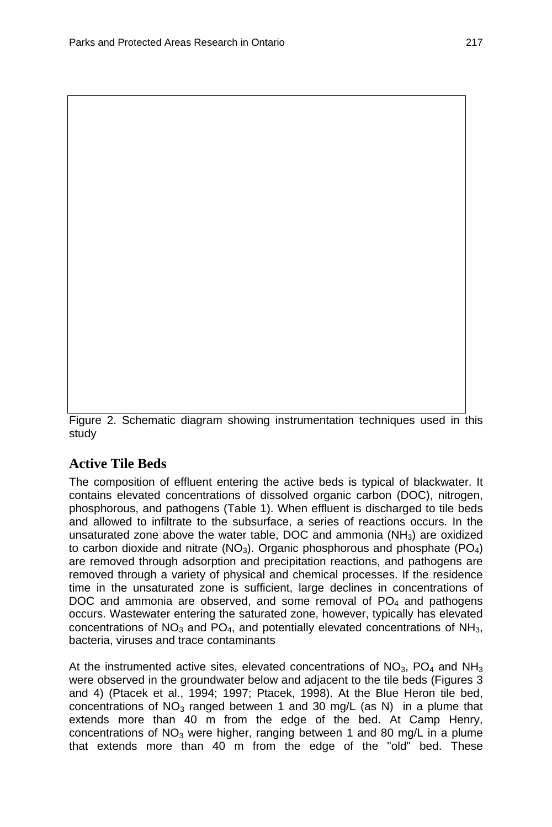Figure 2. Schematic diagram showing instrumentation techniques used in this study

## **Active Tile Beds**

The composition of effluent entering the active beds is typical of blackwater. It contains elevated concentrations of dissolved organic carbon (DOC), nitrogen, phosphorous, and pathogens (Table 1). When effluent is discharged to tile beds and allowed to infiltrate to the subsurface, a series of reactions occurs. In the unsaturated zone above the water table, DOC and ammonia (NH3) are oxidized to carbon dioxide and nitrate  $(NO<sub>3</sub>)$ . Organic phosphorous and phosphate  $(PO<sub>4</sub>)$ are removed through adsorption and precipitation reactions, and pathogens are removed through a variety of physical and chemical processes. If the residence time in the unsaturated zone is sufficient, large declines in concentrations of DOC and ammonia are observed, and some removal of  $PO<sub>4</sub>$  and pathogens occurs. Wastewater entering the saturated zone, however, typically has elevated concentrations of  $NO<sub>3</sub>$  and  $PO<sub>4</sub>$ , and potentially elevated concentrations of  $NH<sub>3</sub>$ , bacteria, viruses and trace contaminants

At the instrumented active sites, elevated concentrations of  $NO<sub>3</sub>$ ,  $PO<sub>4</sub>$  and  $NH<sub>3</sub>$ were observed in the groundwater below and adjacent to the tile beds (Figures 3 and 4) (Ptacek et al., 1994; 1997; Ptacek, 1998). At the Blue Heron tile bed, concentrations of  $NO<sub>3</sub>$  ranged between 1 and 30 mg/L (as N) in a plume that extends more than 40 m from the edge of the bed. At Camp Henry, concentrations of  $NO<sub>3</sub>$  were higher, ranging between 1 and 80 mg/L in a plume that extends more than 40 m from the edge of the "old" bed. These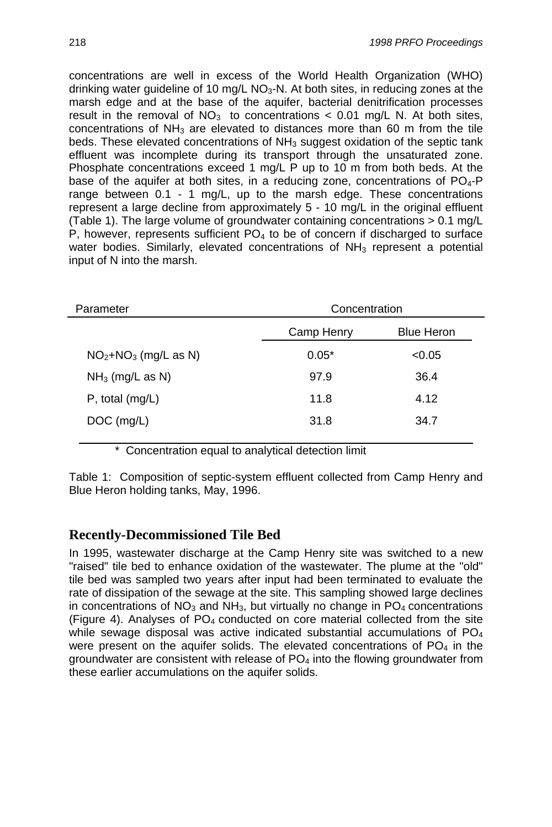concentrations are well in excess of the World Health Organization (WHO) drinking water guideline of 10 mg/L  $NO<sub>3</sub>-N$ . At both sites, in reducing zones at the marsh edge and at the base of the aquifer, bacterial denitrification processes result in the removal of  $NO<sub>3</sub>$  to concentrations < 0.01 mg/L N. At both sites, concentrations of  $NH<sub>3</sub>$  are elevated to distances more than 60 m from the tile beds. These elevated concentrations of NH<sub>3</sub> suggest oxidation of the septic tank effluent was incomplete during its transport through the unsaturated zone. Phosphate concentrations exceed 1 mg/L P up to 10 m from both beds. At the base of the aquifer at both sites, in a reducing zone, concentrations of  $PO_{4}$ -P range between 0.1 - 1 mg/L, up to the marsh edge. These concentrations represent a large decline from approximately 5 - 10 mg/L in the original effluent (Table 1). The large volume of groundwater containing concentrations > 0.1 mg/L P, however, represents sufficient  $PO<sub>4</sub>$  to be of concern if discharged to surface water bodies. Similarly, elevated concentrations of  $NH<sub>3</sub>$  represent a potential input of N into the marsh.

| Parameter             | Concentration |                   |  |
|-----------------------|---------------|-------------------|--|
|                       | Camp Henry    | <b>Blue Heron</b> |  |
| $NO2+NO3$ (mg/L as N) | $0.05*$       | < 0.05            |  |
| $NH3$ (mg/L as N)     | 97.9          | 36.4              |  |
| $P$ , total (mg/L)    | 11.8          | 4.12              |  |
| $DOC$ (mg/L)          | 31.8          | 34.7              |  |
|                       |               |                   |  |

\* Concentration equal to analytical detection limit

Table 1: Composition of septic-system effluent collected from Camp Henry and Blue Heron holding tanks, May, 1996.

### **Recently-Decommissioned Tile Bed**

In 1995, wastewater discharge at the Camp Henry site was switched to a new "raised" tile bed to enhance oxidation of the wastewater. The plume at the "old" tile bed was sampled two years after input had been terminated to evaluate the rate of dissipation of the sewage at the site. This sampling showed large declines in concentrations of  $NO<sub>3</sub>$  and  $NH<sub>3</sub>$ , but virtually no change in  $PO<sub>4</sub>$  concentrations (Figure 4). Analyses of  $PO<sub>4</sub>$  conducted on core material collected from the site while sewage disposal was active indicated substantial accumulations of PO<sub>4</sub> were present on the aquifer solids. The elevated concentrations of  $PO<sub>4</sub>$  in the groundwater are consistent with release of  $PO<sub>4</sub>$  into the flowing groundwater from these earlier accumulations on the aquifer solids.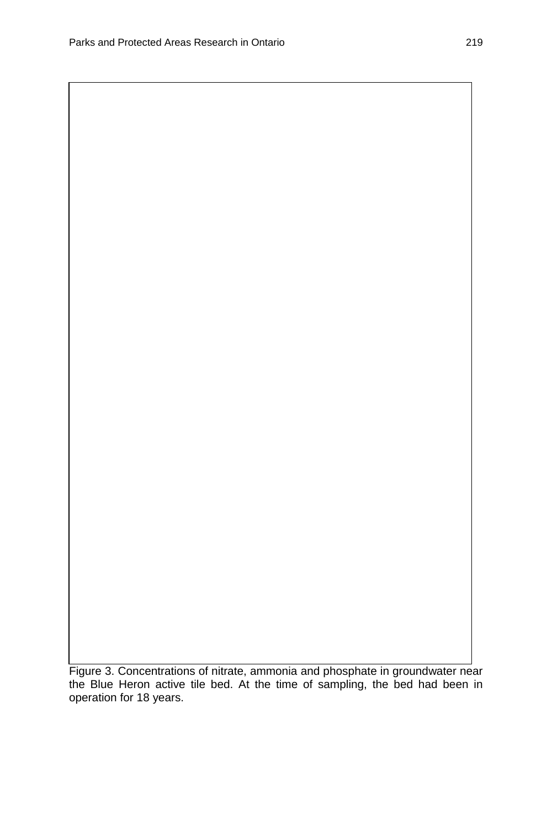Figure 3. Concentrations of nitrate, ammonia and phosphate in groundwater near the Blue Heron active tile bed. At the time of sampling, the bed had been in operation for 18 years.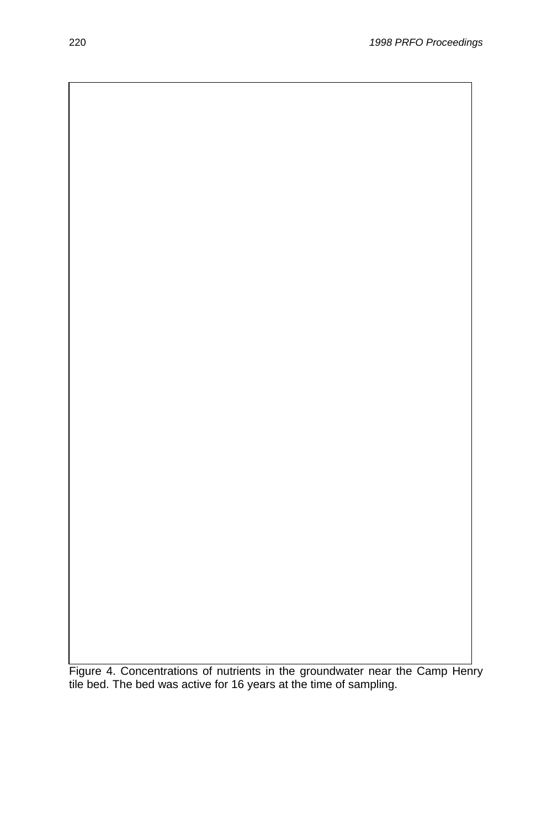Figure 4. Concentrations of nutrients in the groundwater near the Camp Henry tile bed. The bed was active for 16 years at the time of sampling.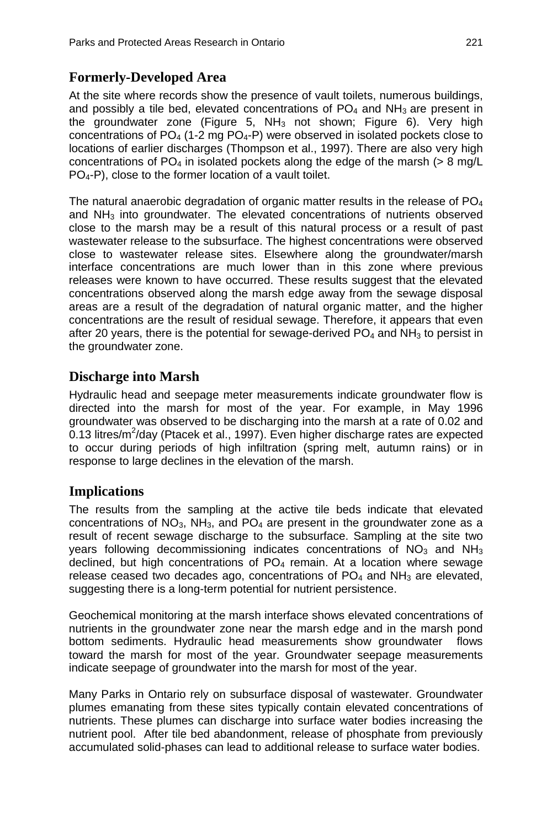## **Formerly-Developed Area**

At the site where records show the presence of vault toilets, numerous buildings, and possibly a tile bed, elevated concentrations of  $PO<sub>4</sub>$  and NH<sub>3</sub> are present in the groundwater zone (Figure 5,  $NH<sub>3</sub>$  not shown; Figure 6). Very high concentrations of  $PO_4$  (1-2 mg  $PO_4$ -P) were observed in isolated pockets close to locations of earlier discharges (Thompson et al., 1997). There are also very high concentrations of PO<sub>4</sub> in isolated pockets along the edge of the marsh ( $> 8$  mg/L PO4-P), close to the former location of a vault toilet.

The natural anaerobic degradation of organic matter results in the release of  $PO<sub>4</sub>$ and NH<sub>3</sub> into groundwater. The elevated concentrations of nutrients observed close to the marsh may be a result of this natural process or a result of past wastewater release to the subsurface. The highest concentrations were observed close to wastewater release sites. Elsewhere along the groundwater/marsh interface concentrations are much lower than in this zone where previous releases were known to have occurred. These results suggest that the elevated concentrations observed along the marsh edge away from the sewage disposal areas are a result of the degradation of natural organic matter, and the higher concentrations are the result of residual sewage. Therefore, it appears that even after 20 years, there is the potential for sewage-derived  $PO<sub>4</sub>$  and NH<sub>3</sub> to persist in the groundwater zone.

## **Discharge into Marsh**

Hydraulic head and seepage meter measurements indicate groundwater flow is directed into the marsh for most of the year. For example, in May 1996 groundwater was observed to be discharging into the marsh at a rate of 0.02 and  $\rm 0.13$  litres/m<sup>2</sup>/day (Ptacek et al., 1997). Even higher discharge rates are expected to occur during periods of high infiltration (spring melt, autumn rains) or in response to large declines in the elevation of the marsh.

### **Implications**

The results from the sampling at the active tile beds indicate that elevated concentrations of  $NO<sub>3</sub>$ ,  $NH<sub>3</sub>$ , and  $PO<sub>4</sub>$  are present in the groundwater zone as a result of recent sewage discharge to the subsurface. Sampling at the site two years following decommissioning indicates concentrations of  $NO<sub>3</sub>$  and  $NH<sub>3</sub>$ declined, but high concentrations of  $PO<sub>4</sub>$  remain. At a location where sewage release ceased two decades ago, concentrations of  $PO<sub>4</sub>$  and  $NH<sub>3</sub>$  are elevated, suggesting there is a long-term potential for nutrient persistence.

Geochemical monitoring at the marsh interface shows elevated concentrations of nutrients in the groundwater zone near the marsh edge and in the marsh pond bottom sediments. Hydraulic head measurements show groundwater flows toward the marsh for most of the year. Groundwater seepage measurements indicate seepage of groundwater into the marsh for most of the year.

Many Parks in Ontario rely on subsurface disposal of wastewater. Groundwater plumes emanating from these sites typically contain elevated concentrations of nutrients. These plumes can discharge into surface water bodies increasing the nutrient pool. After tile bed abandonment, release of phosphate from previously accumulated solid-phases can lead to additional release to surface water bodies.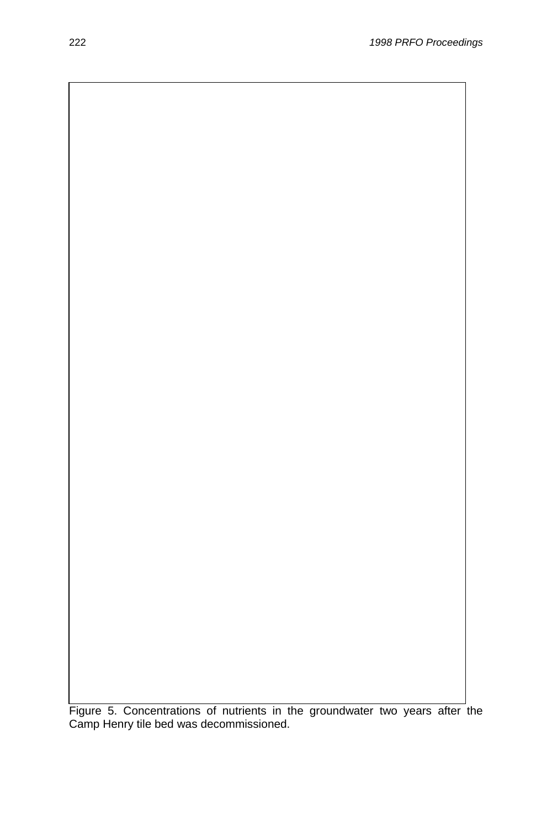Figure 5. Concentrations of nutrients in the groundwater two years after the Camp Henry tile bed was decommissioned.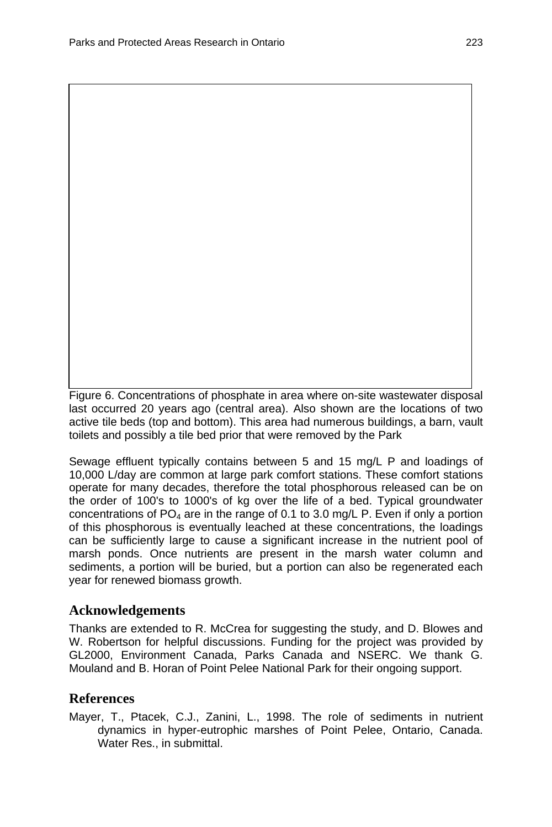Figure 6. Concentrations of phosphate in area where on-site wastewater disposal last occurred 20 years ago (central area). Also shown are the locations of two active tile beds (top and bottom). This area had numerous buildings, a barn, vault toilets and possibly a tile bed prior that were removed by the Park

Sewage effluent typically contains between 5 and 15 mg/L P and loadings of 10,000 L/day are common at large park comfort stations. These comfort stations operate for many decades, therefore the total phosphorous released can be on the order of 100's to 1000's of kg over the life of a bed. Typical groundwater concentrations of  $PO_4$  are in the range of 0.1 to 3.0 mg/L P. Even if only a portion of this phosphorous is eventually leached at these concentrations, the loadings can be sufficiently large to cause a significant increase in the nutrient pool of marsh ponds. Once nutrients are present in the marsh water column and sediments, a portion will be buried, but a portion can also be regenerated each year for renewed biomass growth.

### **Acknowledgements**

Thanks are extended to R. McCrea for suggesting the study, and D. Blowes and W. Robertson for helpful discussions. Funding for the project was provided by GL2000, Environment Canada, Parks Canada and NSERC. We thank G. Mouland and B. Horan of Point Pelee National Park for their ongoing support.

### **References**

Mayer, T., Ptacek, C.J., Zanini, L., 1998. The role of sediments in nutrient dynamics in hyper-eutrophic marshes of Point Pelee, Ontario, Canada. Water Res., in submittal.